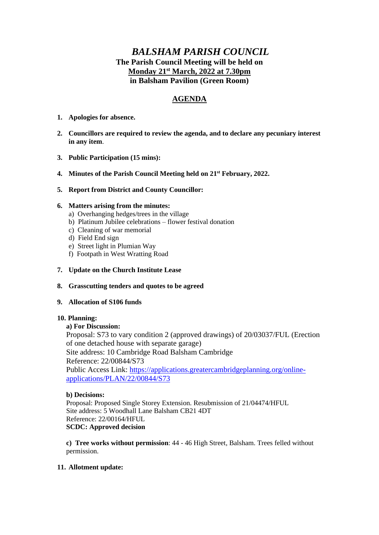# *BALSHAM PARISH COUNCIL* **The Parish Council Meeting will be held on Monday 21st March, 2022 at 7.30pm in Balsham Pavilion (Green Room)**

# **AGENDA**

- **1. Apologies for absence.**
- **2. Councillors are required to review the agenda, and to declare any pecuniary interest in any item**.
- **3. Public Participation (15 mins):**
- **4. Minutes of the Parish Council Meeting held on 21st February, 2022.**
- **5. Report from District and County Councillor:**

### **6. Matters arising from the minutes:**

- a) Overhanging hedges/trees in the village
- b) Platinum Jubilee celebrations flower festival donation
- c) Cleaning of war memorial
- d) Field End sign
- e) Street light in Plumian Way
- f) Footpath in West Wratting Road
- **7. Update on the Church Institute Lease**
- **8. Grasscutting tenders and quotes to be agreed**

### **9. Allocation of S106 funds**

### **10. Planning:**

## **a) For Discussion:**

Proposal: S73 to vary condition 2 (approved drawings) of 20/03037/FUL (Erection of one detached house with separate garage) Site address: 10 Cambridge Road Balsham Cambridge Reference: 22/00844/S73 Public Access Link: [https://applications.greatercambridgeplanning.org/online](https://applications.greatercambridgeplanning.org/online-applications/PLAN/22/00844/S73)[applications/PLAN/22/00844/S73](https://applications.greatercambridgeplanning.org/online-applications/PLAN/22/00844/S73)

### **b) Decisions:**

Proposal: Proposed Single Storey Extension. Resubmission of 21/04474/HFUL Site address: 5 Woodhall Lane Balsham CB21 4DT Reference: 22/00164/HFUL **SCDC: Approved decision**

**c) Tree works without permission**: 44 - 46 High Street, Balsham. Trees felled without permission.

## **11. Allotment update:**